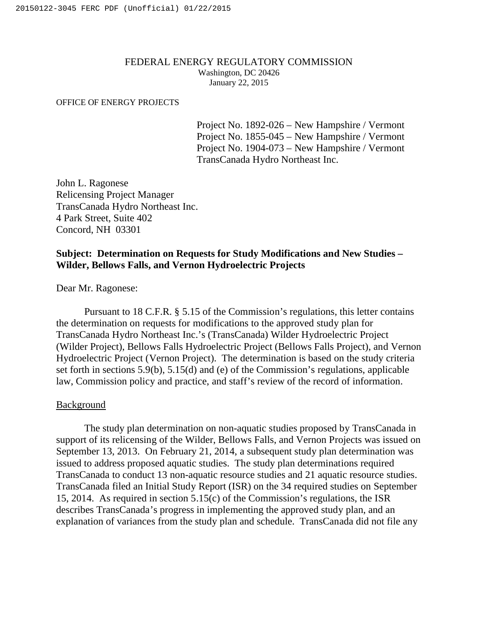### FEDERAL ENERGY REGULATORY COMMISSION Washington, DC 20426 January 22, 2015

#### OFFICE OF ENERGY PROJECTS

Project No. 1892-026 – New Hampshire / Vermont Project No. 1855-045 – New Hampshire / Vermont Project No. 1904-073 – New Hampshire / Vermont TransCanada Hydro Northeast Inc.

John L. Ragonese Relicensing Project Manager TransCanada Hydro Northeast Inc. 4 Park Street, Suite 402 Concord, NH 03301

# **Subject: Determination on Requests for Study Modifications and New Studies – Wilder, Bellows Falls, and Vernon Hydroelectric Projects**

Dear Mr. Ragonese:

Pursuant to 18 C.F.R. § 5.15 of the Commission's regulations, this letter contains the determination on requests for modifications to the approved study plan for TransCanada Hydro Northeast Inc.'s (TransCanada) Wilder Hydroelectric Project (Wilder Project), Bellows Falls Hydroelectric Project (Bellows Falls Project), and Vernon Hydroelectric Project (Vernon Project). The determination is based on the study criteria set forth in sections 5.9(b), 5.15(d) and (e) of the Commission's regulations, applicable law, Commission policy and practice, and staff's review of the record of information.

### Background

The study plan determination on non-aquatic studies proposed by TransCanada in support of its relicensing of the Wilder, Bellows Falls, and Vernon Projects was issued on September 13, 2013. On February 21, 2014, a subsequent study plan determination was issued to address proposed aquatic studies. The study plan determinations required TransCanada to conduct 13 non-aquatic resource studies and 21 aquatic resource studies. TransCanada filed an Initial Study Report (ISR) on the 34 required studies on September 15, 2014. As required in section 5.15(c) of the Commission's regulations, the ISR describes TransCanada's progress in implementing the approved study plan, and an explanation of variances from the study plan and schedule. TransCanada did not file any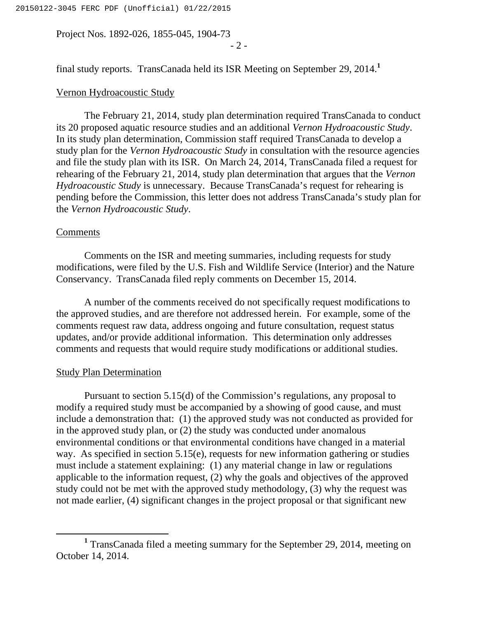Project Nos. 1892-026, 1855-045, 1904-73

- 2 -

final study reports. TransCanada held its ISR Meeting on September 29, 2014.**<sup>1</sup>**

## Vernon Hydroacoustic Study

The February 21, 2014, study plan determination required TransCanada to conduct its 20 proposed aquatic resource studies and an additional *Vernon Hydroacoustic Study*. In its study plan determination, Commission staff required TransCanada to develop a study plan for the *Vernon Hydroacoustic Study* in consultation with the resource agencies and file the study plan with its ISR. On March 24, 2014, TransCanada filed a request for rehearing of the February 21, 2014, study plan determination that argues that the *Vernon Hydroacoustic Study* is unnecessary. Because TransCanada's request for rehearing is pending before the Commission, this letter does not address TransCanada's study plan for the *Vernon Hydroacoustic Study*.

### Comments

Comments on the ISR and meeting summaries, including requests for study modifications, were filed by the U.S. Fish and Wildlife Service (Interior) and the Nature Conservancy. TransCanada filed reply comments on December 15, 2014.

A number of the comments received do not specifically request modifications to the approved studies, and are therefore not addressed herein. For example, some of the comments request raw data, address ongoing and future consultation, request status updates, and/or provide additional information. This determination only addresses comments and requests that would require study modifications or additional studies.

### Study Plan Determination

Pursuant to section 5.15(d) of the Commission's regulations, any proposal to modify a required study must be accompanied by a showing of good cause, and must include a demonstration that: (1) the approved study was not conducted as provided for in the approved study plan, or (2) the study was conducted under anomalous environmental conditions or that environmental conditions have changed in a material way. As specified in section 5.15(e), requests for new information gathering or studies must include a statement explaining: (1) any material change in law or regulations applicable to the information request, (2) why the goals and objectives of the approved study could not be met with the approved study methodology, (3) why the request was not made earlier, (4) significant changes in the project proposal or that significant new

**<sup>1</sup>** TransCanada filed a meeting summary for the September 29, 2014, meeting on October 14, 2014.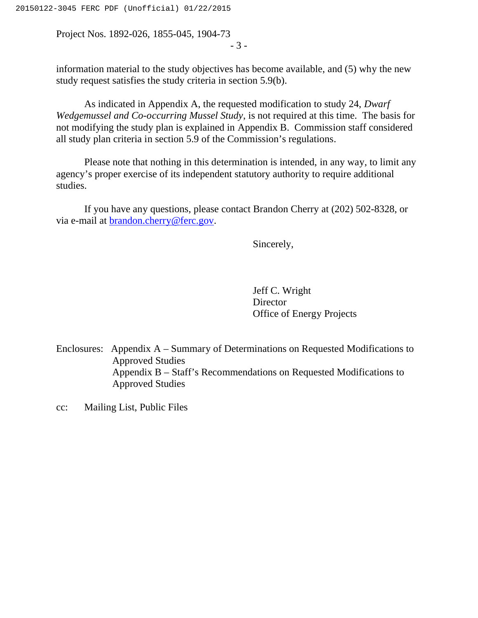Project Nos. 1892-026, 1855-045, 1904-73 - 3 -

information material to the study objectives has become available, and (5) why the new study request satisfies the study criteria in section 5.9(b).

As indicated in Appendix A, the requested modification to study 24, *Dwarf Wedgemussel and Co-occurring Mussel Study*, is not required at this time. The basis for not modifying the study plan is explained in Appendix B. Commission staff considered all study plan criteria in section 5.9 of the Commission's regulations.

Please note that nothing in this determination is intended, in any way, to limit any agency's proper exercise of its independent statutory authority to require additional studies.

If you have any questions, please contact Brandon Cherry at (202) 502-8328, or via e-mail at [brandon.cherry@ferc.gov.](mailto:brandon.cherry@ferc.gov)

Sincerely,

Jeff C. Wright **Director** Office of Energy Projects

Enclosures: Appendix A – Summary of Determinations on Requested Modifications to Approved Studies Appendix B – Staff's Recommendations on Requested Modifications to Approved Studies

cc: Mailing List, Public Files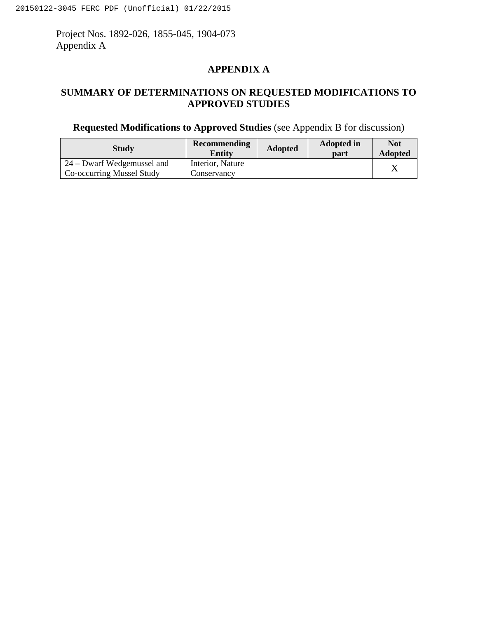Project Nos. 1892-026, 1855-045, 1904-073 Appendix A

# **APPENDIX A**

# **SUMMARY OF DETERMINATIONS ON REQUESTED MODIFICATIONS TO APPROVED STUDIES**

# **Requested Modifications to Approved Studies** (see Appendix B for discussion)

| <b>Study</b>               | <b>Recommending</b><br>Entity | <b>Adopted</b> | <b>Adopted in</b><br>part | <b>Not</b><br><b>Adopted</b> |
|----------------------------|-------------------------------|----------------|---------------------------|------------------------------|
| 24 – Dwarf Wedgemussel and | Interior, Nature              |                |                           |                              |
| Co-occurring Mussel Study  | Conservancy                   |                |                           |                              |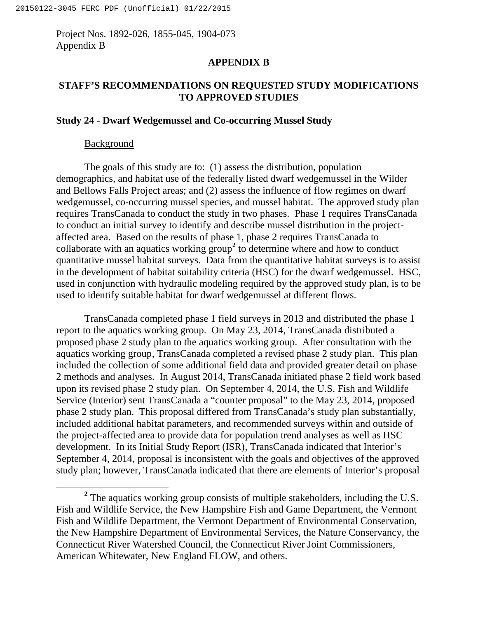Project Nos. 1892-026, 1855-045, 1904-073 Appendix B

### **APPENDIX B**

# **STAFF'S RECOMMENDATIONS ON REQUESTED STUDY MODIFICATIONS TO APPROVED STUDIES**

## **Study 24 - Dwarf Wedgemussel and Co-occurring Mussel Study**

## Background

The goals of this study are to: (1) assess the distribution, population demographics, and habitat use of the federally listed dwarf wedgemussel in the Wilder and Bellows Falls Project areas; and (2) assess the influence of flow regimes on dwarf wedgemussel, co-occurring mussel species, and mussel habitat. The approved study plan requires TransCanada to conduct the study in two phases. Phase 1 requires TransCanada to conduct an initial survey to identify and describe mussel distribution in the projectaffected area. Based on the results of phase 1, phase 2 requires TransCanada to collaborate with an aquatics working group**<sup>2</sup>** to determine where and how to conduct quantitative mussel habitat surveys. Data from the quantitative habitat surveys is to assist in the development of habitat suitability criteria (HSC) for the dwarf wedgemussel. HSC, used in conjunction with hydraulic modeling required by the approved study plan, is to be used to identify suitable habitat for dwarf wedgemussel at different flows.

TransCanada completed phase 1 field surveys in 2013 and distributed the phase 1 report to the aquatics working group. On May 23, 2014, TransCanada distributed a proposed phase 2 study plan to the aquatics working group. After consultation with the aquatics working group, TransCanada completed a revised phase 2 study plan. This plan included the collection of some additional field data and provided greater detail on phase 2 methods and analyses. In August 2014, TransCanada initiated phase 2 field work based upon its revised phase 2 study plan. On September 4, 2014, the U.S. Fish and Wildlife Service (Interior) sent TransCanada a "counter proposal" to the May 23, 2014, proposed phase 2 study plan. This proposal differed from TransCanada's study plan substantially, included additional habitat parameters, and recommended surveys within and outside of the project-affected area to provide data for population trend analyses as well as HSC development. In its Initial Study Report (ISR), TransCanada indicated that Interior's September 4, 2014, proposal is inconsistent with the goals and objectives of the approved study plan; however, TransCanada indicated that there are elements of Interior's proposal

**<sup>2</sup>** The aquatics working group consists of multiple stakeholders, including the U.S. Fish and Wildlife Service, the New Hampshire Fish and Game Department, the Vermont Fish and Wildlife Department, the Vermont Department of Environmental Conservation, the New Hampshire Department of Environmental Services, the Nature Conservancy, the Connecticut River Watershed Council, the Connecticut River Joint Commissioners, American Whitewater, New England FLOW, and others.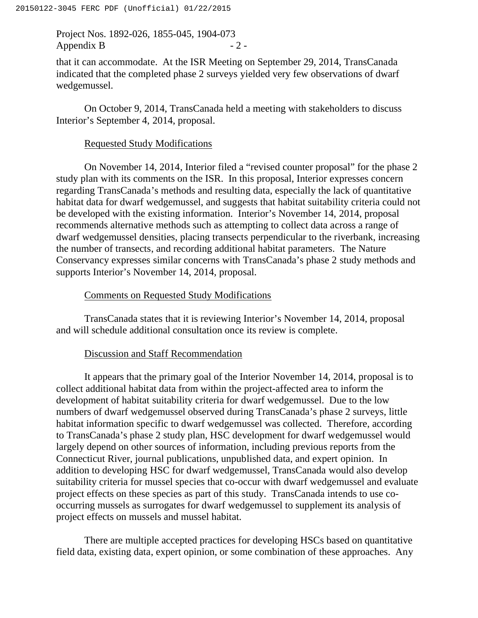Project Nos. 1892-026, 1855-045, 1904-073 Appendix B  $-2$  -

that it can accommodate. At the ISR Meeting on September 29, 2014, TransCanada indicated that the completed phase 2 surveys yielded very few observations of dwarf wedgemussel.

On October 9, 2014, TransCanada held a meeting with stakeholders to discuss Interior's September 4, 2014, proposal.

## Requested Study Modifications

On November 14, 2014, Interior filed a "revised counter proposal" for the phase 2 study plan with its comments on the ISR. In this proposal, Interior expresses concern regarding TransCanada's methods and resulting data, especially the lack of quantitative habitat data for dwarf wedgemussel, and suggests that habitat suitability criteria could not be developed with the existing information. Interior's November 14, 2014, proposal recommends alternative methods such as attempting to collect data across a range of dwarf wedgemussel densities, placing transects perpendicular to the riverbank, increasing the number of transects, and recording additional habitat parameters. The Nature Conservancy expresses similar concerns with TransCanada's phase 2 study methods and supports Interior's November 14, 2014, proposal.

## Comments on Requested Study Modifications

TransCanada states that it is reviewing Interior's November 14, 2014, proposal and will schedule additional consultation once its review is complete.

## Discussion and Staff Recommendation

It appears that the primary goal of the Interior November 14, 2014, proposal is to collect additional habitat data from within the project-affected area to inform the development of habitat suitability criteria for dwarf wedgemussel. Due to the low numbers of dwarf wedgemussel observed during TransCanada's phase 2 surveys, little habitat information specific to dwarf wedgemussel was collected. Therefore, according to TransCanada's phase 2 study plan, HSC development for dwarf wedgemussel would largely depend on other sources of information, including previous reports from the Connecticut River, journal publications, unpublished data, and expert opinion. In addition to developing HSC for dwarf wedgemussel, TransCanada would also develop suitability criteria for mussel species that co-occur with dwarf wedgemussel and evaluate project effects on these species as part of this study. TransCanada intends to use cooccurring mussels as surrogates for dwarf wedgemussel to supplement its analysis of project effects on mussels and mussel habitat.

There are multiple accepted practices for developing HSCs based on quantitative field data, existing data, expert opinion, or some combination of these approaches. Any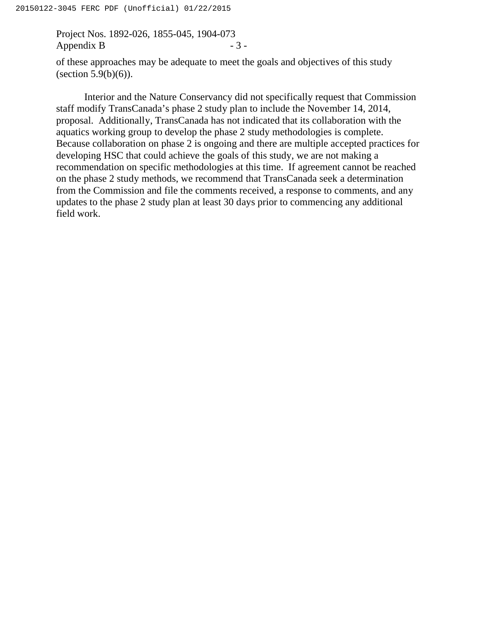Project Nos. 1892-026, 1855-045, 1904-073 Appendix B  $-3$  -

of these approaches may be adequate to meet the goals and objectives of this study (section  $5.9(b)(6)$ ).

Interior and the Nature Conservancy did not specifically request that Commission staff modify TransCanada's phase 2 study plan to include the November 14, 2014, proposal. Additionally, TransCanada has not indicated that its collaboration with the aquatics working group to develop the phase 2 study methodologies is complete. Because collaboration on phase 2 is ongoing and there are multiple accepted practices for developing HSC that could achieve the goals of this study, we are not making a recommendation on specific methodologies at this time. If agreement cannot be reached on the phase 2 study methods, we recommend that TransCanada seek a determination from the Commission and file the comments received, a response to comments, and any updates to the phase 2 study plan at least 30 days prior to commencing any additional field work.